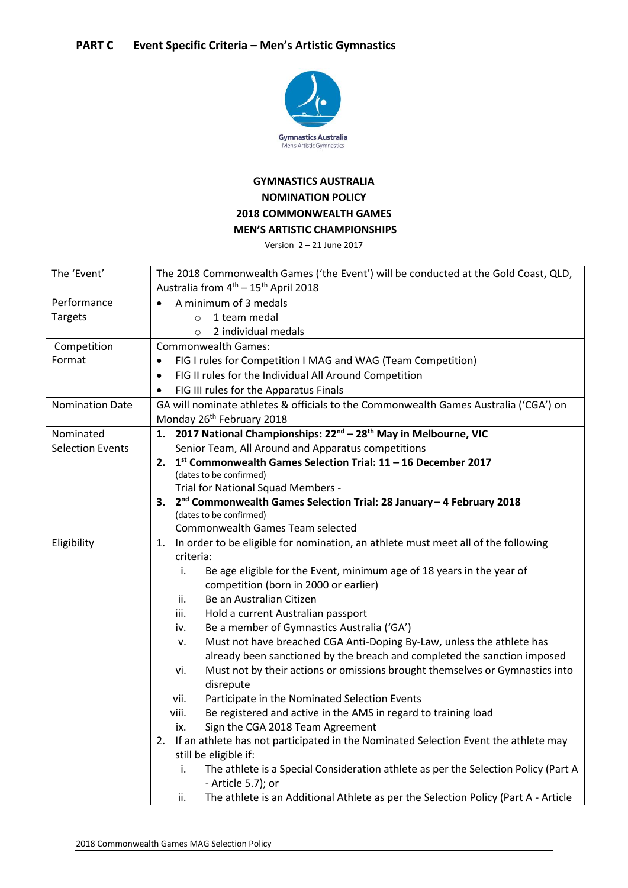

## **GYMNASTICS AUSTRALIA NOMINATION POLICY 2018 COMMONWEALTH GAMES MEN'S ARTISTIC CHAMPIONSHIPS**

Version 2 – 21 June 2017

| The 'Event'             | The 2018 Commonwealth Games ('the Event') will be conducted at the Gold Coast, QLD,                                             |
|-------------------------|---------------------------------------------------------------------------------------------------------------------------------|
|                         | Australia from 4 <sup>th</sup> - 15 <sup>th</sup> April 2018                                                                    |
| Performance             | A minimum of 3 medals                                                                                                           |
| <b>Targets</b>          | 1 team medal<br>$\circ$                                                                                                         |
|                         | 2 individual medals<br>$\circ$                                                                                                  |
| Competition             | <b>Commonwealth Games:</b>                                                                                                      |
| Format                  | FIG I rules for Competition I MAG and WAG (Team Competition)                                                                    |
|                         | FIG II rules for the Individual All Around Competition                                                                          |
|                         | FIG III rules for the Apparatus Finals                                                                                          |
| <b>Nomination Date</b>  | GA will nominate athletes & officials to the Commonwealth Games Australia ('CGA') on                                            |
|                         | Monday 26 <sup>th</sup> February 2018                                                                                           |
| Nominated               | 1. 2017 National Championships: 22 <sup>nd</sup> - 28 <sup>th</sup> May in Melbourne, VIC                                       |
| <b>Selection Events</b> | Senior Team, All Around and Apparatus competitions                                                                              |
|                         | 2. $1st$ Commonwealth Games Selection Trial: 11 - 16 December 2017                                                              |
|                         | (dates to be confirmed)                                                                                                         |
|                         | Trial for National Squad Members -                                                                                              |
|                         | 3. 2 <sup>nd</sup> Commonwealth Games Selection Trial: 28 January - 4 February 2018                                             |
|                         | (dates to be confirmed)                                                                                                         |
|                         | <b>Commonwealth Games Team selected</b><br>1. In order to be eligible for nomination, an athlete must meet all of the following |
| Eligibility             | criteria:                                                                                                                       |
|                         | Be age eligible for the Event, minimum age of 18 years in the year of<br>i.                                                     |
|                         | competition (born in 2000 or earlier)                                                                                           |
|                         | Be an Australian Citizen<br>ii.                                                                                                 |
|                         | Hold a current Australian passport<br>iii.                                                                                      |
|                         | Be a member of Gymnastics Australia ('GA')<br>iv.                                                                               |
|                         | Must not have breached CGA Anti-Doping By-Law, unless the athlete has<br>ν.                                                     |
|                         | already been sanctioned by the breach and completed the sanction imposed                                                        |
|                         | Must not by their actions or omissions brought themselves or Gymnastics into<br>vi.                                             |
|                         | disrepute                                                                                                                       |
|                         | Participate in the Nominated Selection Events<br>vii.                                                                           |
|                         | viii.<br>Be registered and active in the AMS in regard to training load                                                         |
|                         | Sign the CGA 2018 Team Agreement<br>ix.                                                                                         |
|                         | 2. If an athlete has not participated in the Nominated Selection Event the athlete may                                          |
|                         | still be eligible if:                                                                                                           |
|                         | The athlete is a Special Consideration athlete as per the Selection Policy (Part A<br>i.                                        |
|                         | - Article 5.7); or                                                                                                              |
|                         | The athlete is an Additional Athlete as per the Selection Policy (Part A - Article<br>ii.                                       |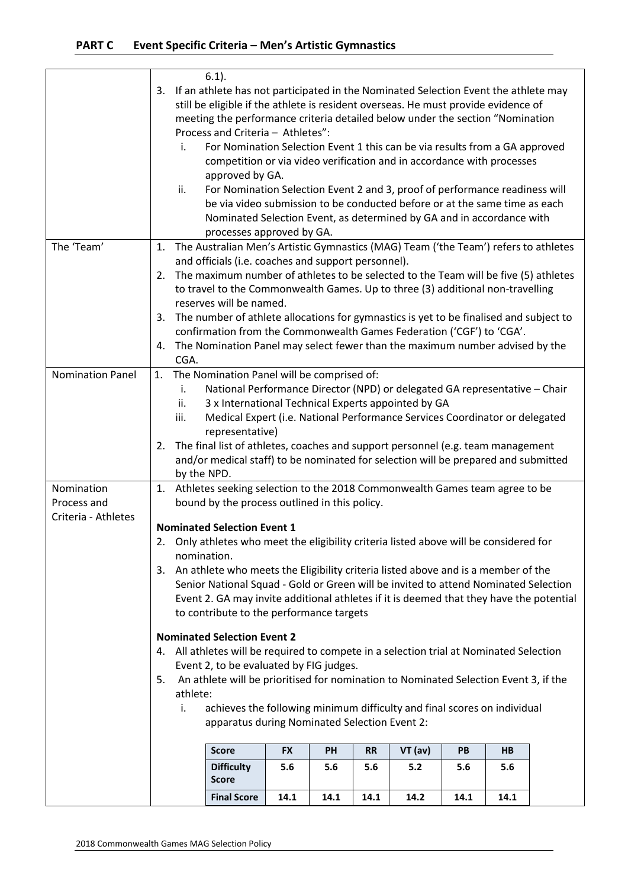|                                                  |                      | i.<br>ii.                        | $6.1$ ).<br>3. If an athlete has not participated in the Nominated Selection Event the athlete may<br>still be eligible if the athlete is resident overseas. He must provide evidence of<br>meeting the performance criteria detailed below under the section "Nomination<br>Process and Criteria - Athletes":<br>For Nomination Selection Event 1 this can be via results from a GA approved<br>competition or via video verification and in accordance with processes<br>approved by GA.<br>For Nomination Selection Event 2 and 3, proof of performance readiness will<br>be via video submission to be conducted before or at the same time as each<br>Nominated Selection Event, as determined by GA and in accordance with<br>processes approved by GA.                                                                                                                                                                                                                |           |      |           |           |      |                |  |
|--------------------------------------------------|----------------------|----------------------------------|------------------------------------------------------------------------------------------------------------------------------------------------------------------------------------------------------------------------------------------------------------------------------------------------------------------------------------------------------------------------------------------------------------------------------------------------------------------------------------------------------------------------------------------------------------------------------------------------------------------------------------------------------------------------------------------------------------------------------------------------------------------------------------------------------------------------------------------------------------------------------------------------------------------------------------------------------------------------------|-----------|------|-----------|-----------|------|----------------|--|
| The 'Team'                                       | 1.<br>2.<br>3.<br>4. | CGA.                             | The Australian Men's Artistic Gymnastics (MAG) Team ('the Team') refers to athletes<br>and officials (i.e. coaches and support personnel).<br>The maximum number of athletes to be selected to the Team will be five (5) athletes<br>to travel to the Commonwealth Games. Up to three (3) additional non-travelling<br>reserves will be named.<br>The number of athlete allocations for gymnastics is yet to be finalised and subject to<br>confirmation from the Commonwealth Games Federation ('CGF') to 'CGA'.<br>The Nomination Panel may select fewer than the maximum number advised by the                                                                                                                                                                                                                                                                                                                                                                            |           |      |           |           |      |                |  |
| Nomination Panel                                 | 2.                   | i.<br>ii.<br>iii.<br>by the NPD. | 1. The Nomination Panel will be comprised of:<br>National Performance Director (NPD) or delegated GA representative - Chair<br>3 x International Technical Experts appointed by GA<br>Medical Expert (i.e. National Performance Services Coordinator or delegated<br>representative)<br>The final list of athletes, coaches and support personnel (e.g. team management<br>and/or medical staff) to be nominated for selection will be prepared and submitted                                                                                                                                                                                                                                                                                                                                                                                                                                                                                                                |           |      |           |           |      |                |  |
| Nomination<br>Process and<br>Criteria - Athletes | 1.<br>3.<br>4.<br>5. | nomination.<br>athlete:<br>i.    | Athletes seeking selection to the 2018 Commonwealth Games team agree to be<br>bound by the process outlined in this policy.<br><b>Nominated Selection Event 1</b><br>2. Only athletes who meet the eligibility criteria listed above will be considered for<br>An athlete who meets the Eligibility criteria listed above and is a member of the<br>Senior National Squad - Gold or Green will be invited to attend Nominated Selection<br>Event 2. GA may invite additional athletes if it is deemed that they have the potential<br>to contribute to the performance targets<br><b>Nominated Selection Event 2</b><br>All athletes will be required to compete in a selection trial at Nominated Selection<br>Event 2, to be evaluated by FIG judges.<br>An athlete will be prioritised for nomination to Nominated Selection Event 3, if the<br>achieves the following minimum difficulty and final scores on individual<br>apparatus during Nominated Selection Event 2: |           |      |           |           |      |                |  |
|                                                  |                      |                                  | <b>Score</b>                                                                                                                                                                                                                                                                                                                                                                                                                                                                                                                                                                                                                                                                                                                                                                                                                                                                                                                                                                 | <b>FX</b> | PH   | <b>RR</b> | $VT$ (av) | PB   | H <sub>B</sub> |  |
|                                                  |                      |                                  | <b>Difficulty</b><br><b>Score</b>                                                                                                                                                                                                                                                                                                                                                                                                                                                                                                                                                                                                                                                                                                                                                                                                                                                                                                                                            | 5.6       | 5.6  | 5.6       | 5.2       | 5.6  | 5.6            |  |
|                                                  |                      |                                  | <b>Final Score</b>                                                                                                                                                                                                                                                                                                                                                                                                                                                                                                                                                                                                                                                                                                                                                                                                                                                                                                                                                           | 14.1      | 14.1 | 14.1      | 14.2      | 14.1 | 14.1           |  |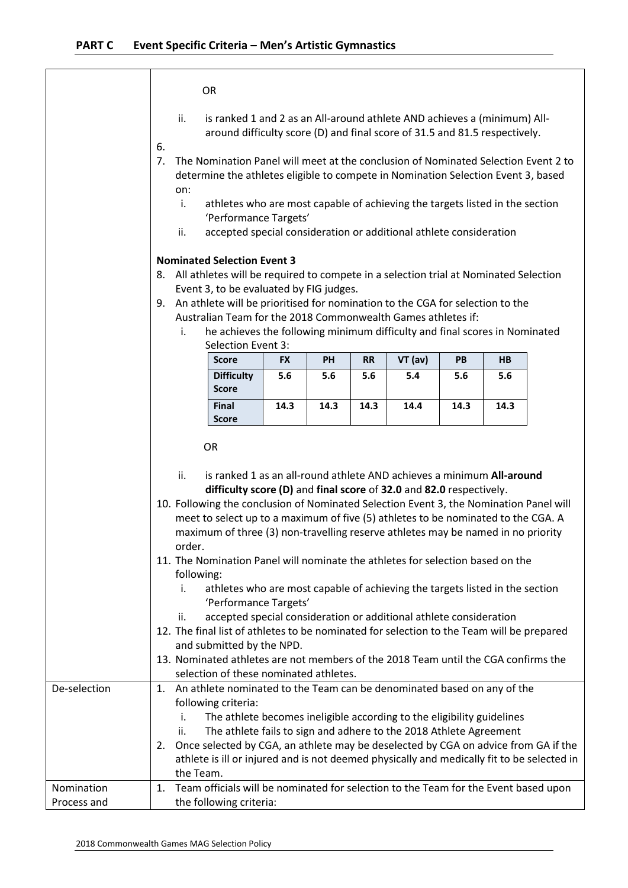|          |           | Selection Event 3:<br><b>Score</b>                                                                                                                     | <b>FX</b> | <b>PH</b> | <b>RR</b> | $VT$ (av) | <b>PB</b> | HB |
|----------|-----------|--------------------------------------------------------------------------------------------------------------------------------------------------------|-----------|-----------|-----------|-----------|-----------|----|
|          | i.        | he achieves the following minimum difficulty and final scores in Nominated                                                                             |           |           |           |           |           |    |
| 9.       |           | An athlete will be prioritised for nomination to the CGA for selection to the<br>Australian Team for the 2018 Commonwealth Games athletes if:          |           |           |           |           |           |    |
|          |           | Event 3, to be evaluated by FIG judges.                                                                                                                |           |           |           |           |           |    |
| 8.       |           | <b>Nominated Selection Event 3</b><br>All athletes will be required to compete in a selection trial at Nominated Selection                             |           |           |           |           |           |    |
|          | ii.       | 'Performance Targets'<br>accepted special consideration or additional athlete consideration                                                            |           |           |           |           |           |    |
|          | on:<br>i. | athletes who are most capable of achieving the targets listed in the section                                                                           |           |           |           |           |           |    |
|          |           | determine the athletes eligible to compete in Nomination Selection Event 3, based                                                                      |           |           |           |           |           |    |
| 6.<br>7. |           | The Nomination Panel will meet at the conclusion of Nominated Selection Event 2 to                                                                     |           |           |           |           |           |    |
|          | ii.       | is ranked 1 and 2 as an All-around athlete AND achieves a (minimum) All-<br>around difficulty score (D) and final score of 31.5 and 81.5 respectively. |           |           |           |           |           |    |

|  | is ranked 1 as an all-round athlete AND achieves a minimum All-around                  |
|--|----------------------------------------------------------------------------------------|
|  | difficulty score (D) and final score of 32.0 and 82.0 respectively.                    |
|  | 10. Following the conclusion of Nominated Selection Event 3, the Nomination Panel will |
|  | meet to select up to a maximum of five (5) athletes to be nominated to the CGA. A      |
|  | maximum of three (3) non-travelling reserve athletes may be named in no priority       |

- order. 11. The Nomination Panel will nominate the athletes for selection based on the following:
	- i. athletes who are most capable of achieving the targets listed in the section 'Performance Targets'
	- ii. accepted special consideration or additional athlete consideration
- 12. The final list of athletes to be nominated for selection to the Team will be prepared and submitted by the NPD.
- 13. Nominated athletes are not members of the 2018 Team until the CGA confirms the selection of these nominated athletes.

| De-selection | An athlete nominated to the Team can be denominated based on any of the<br>1.<br>following criteria:<br>The athlete becomes ineligible according to the eligibility guidelines<br>The athlete fails to sign and adhere to the 2018 Athlete Agreement<br>$\mathbf{II}$ .<br>2. Once selected by CGA, an athlete may be deselected by CGA on advice from GA if the<br>athlete is ill or injured and is not deemed physically and medically fit to be selected in<br>the Team. |
|--------------|-----------------------------------------------------------------------------------------------------------------------------------------------------------------------------------------------------------------------------------------------------------------------------------------------------------------------------------------------------------------------------------------------------------------------------------------------------------------------------|
| Nomination   | 1. Team officials will be nominated for selection to the Team for the Event based upon                                                                                                                                                                                                                                                                                                                                                                                      |
| Process and  | the following criteria:                                                                                                                                                                                                                                                                                                                                                                                                                                                     |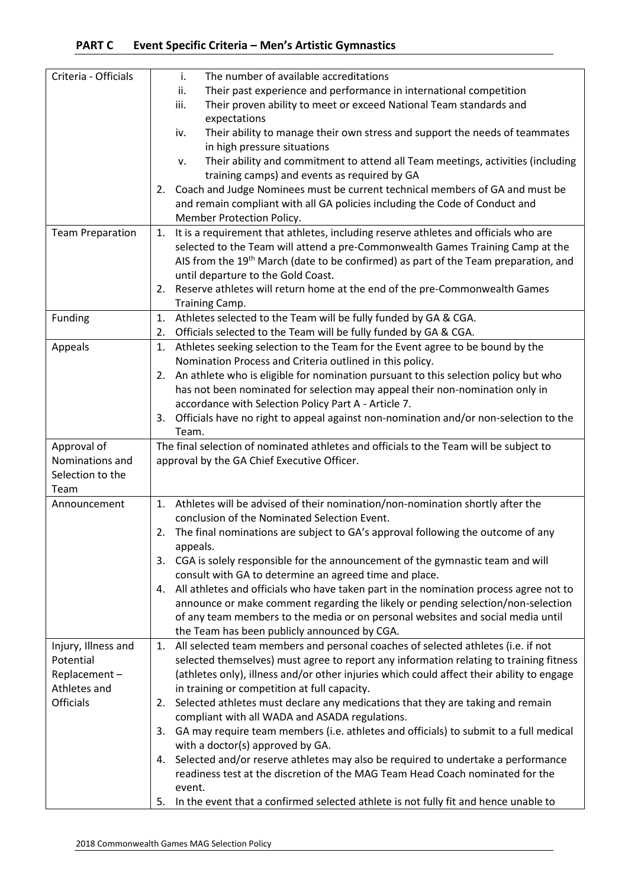| Criteria - Officials             | The number of available accreditations<br>i.                                                                                                                                        |
|----------------------------------|-------------------------------------------------------------------------------------------------------------------------------------------------------------------------------------|
|                                  | Their past experience and performance in international competition<br>ii.                                                                                                           |
|                                  | Their proven ability to meet or exceed National Team standards and<br>iii.<br>expectations                                                                                          |
|                                  | Their ability to manage their own stress and support the needs of teammates<br>iv.                                                                                                  |
|                                  | in high pressure situations                                                                                                                                                         |
|                                  | Their ability and commitment to attend all Team meetings, activities (including<br>٧.                                                                                               |
|                                  | training camps) and events as required by GA                                                                                                                                        |
|                                  | Coach and Judge Nominees must be current technical members of GA and must be<br>2.                                                                                                  |
|                                  | and remain compliant with all GA policies including the Code of Conduct and                                                                                                         |
|                                  | Member Protection Policy.                                                                                                                                                           |
| <b>Team Preparation</b>          | It is a requirement that athletes, including reserve athletes and officials who are<br>1.                                                                                           |
|                                  | selected to the Team will attend a pre-Commonwealth Games Training Camp at the<br>AIS from the 19th March (date to be confirmed) as part of the Team preparation, and               |
|                                  | until departure to the Gold Coast.                                                                                                                                                  |
|                                  | Reserve athletes will return home at the end of the pre-Commonwealth Games<br>2.                                                                                                    |
|                                  | Training Camp.                                                                                                                                                                      |
| Funding                          | Athletes selected to the Team will be fully funded by GA & CGA.<br>1.                                                                                                               |
|                                  | Officials selected to the Team will be fully funded by GA & CGA.<br>2.                                                                                                              |
| Appeals                          | Athletes seeking selection to the Team for the Event agree to be bound by the<br>1.                                                                                                 |
|                                  | Nomination Process and Criteria outlined in this policy.                                                                                                                            |
|                                  | An athlete who is eligible for nomination pursuant to this selection policy but who<br>2.                                                                                           |
|                                  | has not been nominated for selection may appeal their non-nomination only in                                                                                                        |
|                                  | accordance with Selection Policy Part A - Article 7.                                                                                                                                |
|                                  | Officials have no right to appeal against non-nomination and/or non-selection to the<br>3.                                                                                          |
|                                  | Team.                                                                                                                                                                               |
|                                  |                                                                                                                                                                                     |
| Approval of                      | The final selection of nominated athletes and officials to the Team will be subject to                                                                                              |
| Nominations and                  | approval by the GA Chief Executive Officer.                                                                                                                                         |
| Selection to the                 |                                                                                                                                                                                     |
| Team<br>Announcement             | 1. Athletes will be advised of their nomination/non-nomination shortly after the                                                                                                    |
|                                  | conclusion of the Nominated Selection Event.                                                                                                                                        |
|                                  | 2. The final nominations are subject to GA's approval following the outcome of any                                                                                                  |
|                                  | appeals.                                                                                                                                                                            |
|                                  | CGA is solely responsible for the announcement of the gymnastic team and will<br>3.                                                                                                 |
|                                  | consult with GA to determine an agreed time and place.                                                                                                                              |
|                                  | All athletes and officials who have taken part in the nomination process agree not to<br>4.                                                                                         |
|                                  | announce or make comment regarding the likely or pending selection/non-selection                                                                                                    |
|                                  | of any team members to the media or on personal websites and social media until                                                                                                     |
|                                  | the Team has been publicly announced by CGA.<br>1.                                                                                                                                  |
| Injury, Illness and<br>Potential | All selected team members and personal coaches of selected athletes (i.e. if not                                                                                                    |
| Replacement-                     | selected themselves) must agree to report any information relating to training fitness<br>(athletes only), illness and/or other injuries which could affect their ability to engage |
| Athletes and                     | in training or competition at full capacity.                                                                                                                                        |
| <b>Officials</b>                 | Selected athletes must declare any medications that they are taking and remain<br>2.                                                                                                |
|                                  | compliant with all WADA and ASADA regulations.                                                                                                                                      |
|                                  | GA may require team members (i.e. athletes and officials) to submit to a full medical<br>3.                                                                                         |
|                                  | with a doctor(s) approved by GA.                                                                                                                                                    |
|                                  | Selected and/or reserve athletes may also be required to undertake a performance<br>4.                                                                                              |
|                                  | readiness test at the discretion of the MAG Team Head Coach nominated for the                                                                                                       |
|                                  | event.<br>In the event that a confirmed selected athlete is not fully fit and hence unable to<br>5.                                                                                 |